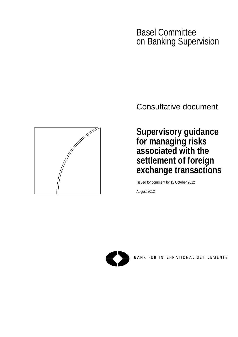# Basel Committee on Banking Supervision

Consultative document

**Supervisory guidance for managing risks associated with the settlement of foreign exchange transactions**

Issued for comment by 12 October 2012

August 2012



BANK FOR INTERNATIONAL SETTLEMENTS

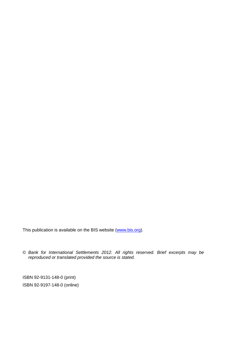This publication is available on the BIS website [\(www.bis.org\)](http://www.bis.org/).

© *Bank for International Settlements 2012. All rights reserved. Brief excerpts may be reproduced or translated provided the source is stated.*

ISBN 92-9131-148-0 (print) ISBN 92-9197-148-0 (online)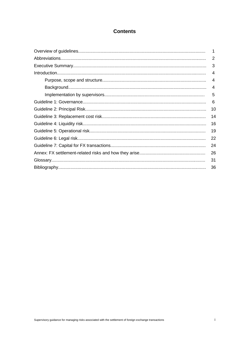# **Contents**

| 1  |
|----|
| 2  |
| 3  |
| 4  |
| 4  |
| 4  |
| 5  |
| 6  |
| 10 |
| 14 |
| 16 |
| 19 |
| 22 |
| 24 |
| 26 |
| 31 |
| 36 |
|    |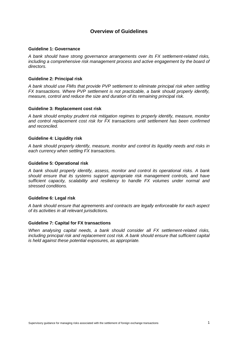# **Overview of Guidelines**

#### **Guideline 1: Governance**

*A bank should have strong governance arrangements over its FX settlement-related risks, including a comprehensive risk management process and active engagement by the board of directors.* 

### **Guideline 2: Principal risk**

*A bank should use FMIs that provide PVP settlement to eliminate principal risk when settling FX transactions. Where PVP settlement is not practicable, a bank should properly identify, measure, control and reduce the size and duration of its remaining principal risk.*

#### **Guideline 3: Replacement cost risk**

*A bank should employ prudent risk mitigation regimes to properly identify, measure, monitor and control replacement cost risk for FX transactions until settlement has been confirmed and reconciled.*

#### **Guideline 4: Liquidity risk**

*A bank should properly identify, measure, monitor and control its liquidity needs and risks in each currency when settling FX transactions.* 

#### **Guideline 5: Operational risk**

*A bank should properly identify, assess, monitor and control its operational risks. A bank should ensure that its systems support appropriate risk management controls, and have sufficient capacity, scalability and resiliency to handle FX volumes under normal and stressed conditions.* 

### **Guideline 6: Legal risk**

*A bank should ensure that agreements and contracts are legally enforceable for each aspect of its activities in all relevant jurisdictions.*

#### **Guideline 7: Capital for FX transactions**

*When analysing capital needs, a bank should consider all FX settlement-related risks, including principal risk and replacement cost risk. A bank should ensure that sufficient capital is held against these potential exposures, as appropriate.*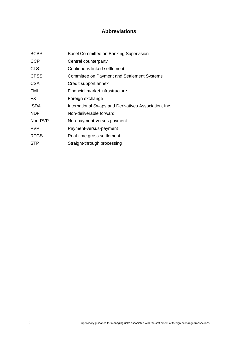# **Abbreviations**

| <b>BCBS</b> | <b>Basel Committee on Banking Supervision</b>         |
|-------------|-------------------------------------------------------|
| <b>CCP</b>  | Central counterparty                                  |
| <b>CLS</b>  | Continuous linked settlement                          |
| <b>CPSS</b> | <b>Committee on Payment and Settlement Systems</b>    |
| <b>CSA</b>  | Credit support annex                                  |
| FMI         | Financial market infrastructure                       |
| FX.         | Foreign exchange                                      |
| <b>ISDA</b> | International Swaps and Derivatives Association, Inc. |
| <b>NDF</b>  | Non-deliverable forward                               |
| Non-PVP     | Non-payment-versus-payment                            |
| <b>PVP</b>  | Payment-versus-payment                                |
| <b>RTGS</b> | Real-time gross settlement                            |
| <b>STP</b>  | Straight-through processing                           |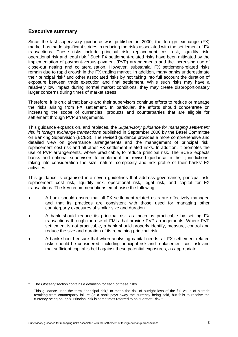# **Executive summary**

Since the last supervisory guidance was published in 2000, the foreign exchange (FX) market has made significant strides in reducing the risks associated with the settlement of FX transactions. These risks include principal risk, replacement cost risk, liquidity risk, operational risk and legal risk.<sup>[1](#page-6-0)</sup> Such FX settlement-related risks have been mitigated by the implementation of payment-versus-payment (PVP) arrangements and the increasing use of close-out netting and collateralisation. However, substantial FX settlement-related risks remain due to rapid growth in the FX trading market. In addition, many banks underestimate their principal risk<sup>[2](#page-6-1)</sup> and other associated risks by not taking into full account the duration of exposure between trade execution and final settlement. While such risks may have a relatively low impact during normal market conditions, they may create disproportionately larger concerns during times of market stress.

Therefore, it is crucial that banks and their supervisors continue efforts to reduce or manage the risks arising from FX settlement. In particular, the efforts should concentrate on increasing the scope of currencies, products and counterparties that are eligible for settlement through PVP arrangements.

This guidance expands on, and replaces, the *Supervisory guidance for managing settlement risk in foreign exchange transactions* published in September 2000 by the Basel Committee on Banking Supervision (BCBS). The revised guidance provides a more comprehensive and detailed view on governance arrangements and the management of principal risk, replacement cost risk and all other FX settlement-related risks. In addition, it promotes the use of PVP arrangements, where practicable, to reduce principal risk. The BCBS expects banks and national supervisors to implement the revised guidance in their jurisdictions, taking into consideration the size, nature, complexity and risk profile of their banks' FX activities.

This guidance is organised into seven guidelines that address governance, principal risk, replacement cost risk, liquidity risk, operational risk, legal risk, and capital for FX transactions. The key recommendations emphasise the following:

- A bank should ensure that all FX settlement-related risks are effectively managed and that its practices are consistent with those used for managing other counterparty exposures of similar size and duration.
- A bank should reduce its principal risk as much as practicable by settling FX transactions through the use of FMIs that provide PVP arrangements. Where PVP settlement is not practicable, a bank should properly identify, measure, control and reduce the size and duration of its remaining principal risk.
- A bank should ensure that when analysing capital needs, all FX settlement-related risks should be considered, including principal risk and replacement cost risk and that sufficient capital is held against these potential exposures, as appropriate.

<span id="page-6-0"></span><sup>1</sup> The *Glossary* section contains a definition for each of these risks.

<span id="page-6-1"></span><sup>2</sup> This guidance uses the term, "principal risk," to mean the risk of outright loss of the full value of a trade resulting from counterparty failure (ie a bank pays away the currency being sold, but fails to receive the currency being bought). Principal risk is sometimes referred to as "Herstatt Risk."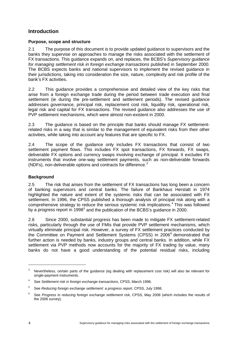# **Introduction**

### **Purpose, scope and structure**

2.1 The purpose of this document is to provide updated guidance to supervisors and the banks they supervise on approaches to manage the risks associated with the settlement of FX transactions. This guidance expands on, and replaces, the BCBS's *Supervisory guidance for managing settlement risk in foreign exchange transactions* published in September 2000. The BCBS expects banks and national supervisors to implement the revised guidance in their jurisdictions, taking into consideration the size, nature, complexity and risk profile of the bank's FX activities.

2.2 This guidance provides a comprehensive and detailed view of the key risks that arise from a foreign exchange trade during the period between trade execution and final settlement (ie during the pre-settlement and settlement periods). The revised guidance addresses governance, principal risk, replacement cost risk, liquidity risk, operational risk, legal risk and capital for FX transactions. The revised guidance also addresses the use of PVP settlement mechanisms, which were almost non-existent in 2000.

2.3 The guidance is based on the principle that banks should manage FX settlementrelated risks in a way that is similar to the management of equivalent risks from their other activities, while taking into account any features that are specific to FX.

2.4 The scope of the guidance only includes FX transactions that consist of two settlement payment flows. This includes FX spot transactions, FX forwards, FX swaps, deliverable FX options and currency swaps involving exchange of principal. It excludes FX instruments that involve one-way settlement payments, such as non-deliverable forwards (NDFs), non-deliverable options and contracts for difference.[3](#page-7-0)

### **Background**

2.5 The risk that arises from the settlement of FX transactions has long been a concern of banking supervisors and central banks. The failure of Bankhaus Herstatt in 1974 highlighted the nature and extent of the systemic risks that can be associated with FX settlement. In 1996, the CPSS published a thorough analysis of principal risk along with a comprehensive strategy to reduce the serious systemic risk implications.<sup>[4](#page-7-1)</sup> This was followed by a progress report in 1998<sup>[5](#page-7-2)</sup> and the publication of the BCBS's guidance in 2000.

2.6 Since 2000, substantial progress has been made to mitigate FX settlement-related risks, particularly through the use of FMIs that provide PVP settlement mechanisms, which virtually eliminate principal risk. However, a survey of FX settlement practices conducted by the Committee on Payment and Settlement Systems (CPSS) in 200[6](#page-7-3)<sup>6</sup> demonstrated that further action is needed by banks, industry groups and central banks. In addition, while FX settlement via PVP methods now accounts for the majority of FX trading by value, many banks do not have a good understanding of the potential residual risks, including

<span id="page-7-0"></span><sup>3</sup> Nevertheless, certain parts of the guidance (eg dealing with replacement cost risk) will also be relevant for single-payment instruments.

<span id="page-7-1"></span><sup>4</sup> See *Settlement risk in foreign exchange transactions*, CPSS, March 1996.

<span id="page-7-2"></span><sup>5</sup> See *Reducing foreign exchange settlement: a progress report*, CPSS, July 1998.

<span id="page-7-3"></span><sup>6</sup> See *Progress in reducing foreign exchange settlement risk*, CPSS, May 2008 (which includes the results of the 2006 survey).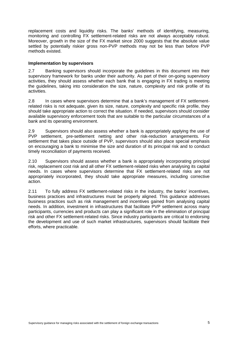replacement costs and liquidity risks. The banks' methods of identifying, measuring, monitoring and controlling FX settlement-related risks are not always acceptably robust. Moreover, growth in the size of the FX market since 2000 suggests that the absolute value settled by potentially riskier gross non-PVP methods may not be less than before PVP methods existed.

### **Implementation by supervisors**

2.7 Banking supervisors should incorporate the guidelines in this document into their supervisory framework for banks under their authority. As part of their on-going supervisory activities, they should assess whether each bank that is engaging in FX trading is meeting the guidelines, taking into consideration the size, nature, complexity and risk profile of its activities.

2.8 In cases where supervisors determine that a bank's management of FX settlementrelated risks is not adequate, given its size, nature, complexity and specific risk profile, they should take appropriate action to correct the situation. If needed, supervisors should consider available supervisory enforcement tools that are suitable to the particular circumstances of a bank and its operating environment.

2.9 Supervisors should also assess whether a bank is appropriately applying the use of PVP settlement, pre-settlement netting and other risk-reduction arrangements. For settlement that takes place outside of PVP, supervisors should also place special emphasis on encouraging a bank to minimise the size and duration of its principal risk and to conduct timely reconciliation of payments received.

2.10 Supervisors should assess whether a bank is appropriately incorporating principal risk, replacement cost risk and all other FX settlement-related risks when analysing its capital needs. In cases where supervisors determine that FX settlement-related risks are not appropriately incorporated, they should take appropriate measures, including corrective action.

2.11 To fully address FX settlement-related risks in the industry, the banks' incentives, business practices and infrastructures must be properly aligned. This guidance addresses business practices such as risk management and incentives gained from analysing capital needs. In addition, investment in infrastructures that facilitate PVP settlement across many participants, currencies and products can play a significant role in the elimination of principal risk and other FX settlement-related risks. Since industry participants are critical to endorsing the development and use of such market infrastructures, supervisors should facilitate their efforts, where practicable.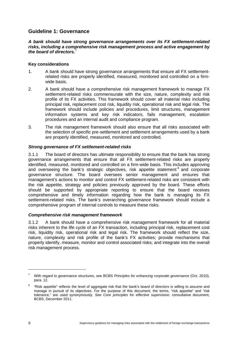# **Guideline 1: Governance**

*A bank should have strong governance arrangements over its FX settlement-related risks, including a comprehensive risk management process and active engagement by the board of directors.* [7](#page-9-0)

### **Key considerations**

- 1. A bank should have strong governance arrangements that ensure all FX settlementrelated risks are properly identified, measured, monitored and controlled on a firmwide basis.
- 2. A bank should have a comprehensive risk management framework to manage FX settlement-related risks commensurate with the size, nature, complexity and risk profile of its FX activities. This framework should cover all material risks including principal risk, replacement cost risk, liquidity risk, operational risk and legal risk. The framework should include policies and procedures, limit structures, management information systems and key risk indicators, fails management, escalation procedures and an internal audit and compliance program.
- 3. The risk management framework should also ensure that all risks associated with the selection of specific pre-settlement and settlement arrangements used by a bank are properly identified, measured, monitored and controlled.

### *Strong governance of FX settlement-related risks*

3.1.1 The board of directors has ultimate responsibility to ensure that the bank has strong governance arrangements that ensure that all FX settlement-related risks are properly identified, measured, monitored and controlled on a firm-wide basis. This includes approving and overseeing the bank's strategic objectives, risk appetite statement<sup>[8](#page-9-1)</sup> and corporate governance structure. The board oversees senior management and ensures that management's actions to monitor and control FX settlement-related risks are consistent with the risk appetite, strategy and policies previously approved by the board. These efforts should be supported by appropriate reporting to ensure that the board receives comprehensive and timely information regarding how the bank is managing its FX settlement-related risks. The bank's overarching governance framework should include a comprehensive program of internal controls to measure these risks.

### *Comprehensive risk management framework*

3.1.2 A bank should have a comprehensive risk management framework for all material risks inherent to the life cycle of an FX transaction, including principal risk, replacement cost risk, liquidity risk, operational risk and legal risk. The framework should reflect the size, nature, complexity and risk profile of the bank's FX activities; provide mechanisms that properly identify, measure, monitor and control associated risks; and integrate into the overall risk management process.

<span id="page-9-0"></span><sup>7</sup> With regard to governance structures, see BCBS *Principles for enhancing corporate governance* (Oct. 2010), para. 12.

<span id="page-9-1"></span><sup>8</sup> "Risk appetite" reflects the level of aggregate risk that the bank's board of directors is willing to assume and manage in pursuit of its objectives. For the purpose of this document, the terms, "risk appetite" and "risk tolerance," are used synonymously. See *Core principles for effective supervision,* consultative document*,*  BCBS, December 2011.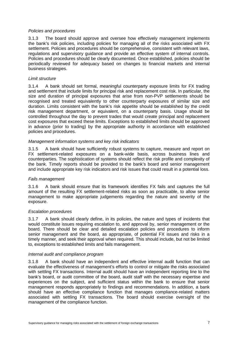### *Policies and procedures*

3.1.3 The board should approve and oversee how effectively management implements the bank's risk policies, including policies for managing all of the risks associated with FX settlement. Policies and procedures should be comprehensive, consistent with relevant laws, regulations and supervisory guidance and provide an effective system of internal controls. Policies and procedures should be clearly documented. Once established, policies should be periodically reviewed for adequacy based on changes to financial markets and internal business strategies.

#### *Limit structure*

3.1.4 A bank should set formal, meaningful counterparty exposure limits for FX trading and settlement that include limits for principal risk and replacement cost risk. In particular, the size and duration of principal exposures that arise from non-PVP settlements should be recognised and treated equivalently to other counterparty exposures of similar size and duration. Limits consistent with the bank's risk appetite should be established by the credit risk management department, or equivalent, on a counterparty basis. Usage should be controlled throughout the day to prevent trades that would create principal and replacement cost exposures that exceed these limits. Exceptions to established limits should be approved in advance (prior to trading) by the appropriate authority in accordance with established policies and procedures.

#### *Management information systems and key risk indicators*

3.1.5 A bank should have sufficiently robust systems to capture, measure and report on FX settlement-related exposures on a bank-wide basis, across business lines and counterparties. The sophistication of systems should reflect the risk profile and complexity of the bank. Timely reports should be provided to the bank's board and senior management and include appropriate key risk indicators and risk issues that could result in a potential loss.

### *Fails management*

3.1.6 A bank should ensure that its framework identifies FX fails and captures the full amount of the resulting FX settlement-related risks as soon as practicable, to allow senior management to make appropriate judgements regarding the nature and severity of the exposure.

### *Escalation procedures*

3.1.7 A bank should clearly define, in its policies, the nature and types of incidents that would constitute issues requiring escalation to, and approval by, senior management or the board. There should be clear and detailed escalation policies and procedures to inform senior management and the board, as appropriate, of potential FX issues and risks in a timely manner, and seek their approval when required. This should include, but not be limited to, exceptions to established limits and fails management.

### *Internal audit and compliance program*

3.1.8 A bank should have an independent and effective internal audit function that can evaluate the effectiveness of management's efforts to control or mitigate the risks associated with settling FX transactions. Internal audit should have an independent reporting line to the bank's board, or audit committee of the board, audit staff with the necessary expertise and experiences on the subject, and sufficient status within the bank to ensure that senior management responds appropriately to findings and recommendations. In addition, a bank should have an effective compliance function that manages compliance-related matters associated with settling FX transactions. The board should exercise oversight of the management of the compliance function.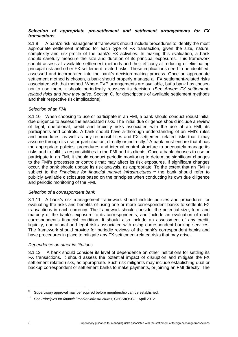### *Selection of appropriate pre-settlement and settlement arrangements for FX transactions*

3.1.9 A bank's risk management framework should include procedures to identify the most appropriate settlement method for each type of FX transaction, given the size, nature, complexity and risk-profile of the bank's FX activities. In making this evaluation, a bank should carefully measure the size and duration of its principal exposures. This framework should assess all available settlement methods and their efficacy at reducing or eliminating principal risk and other FX settlement-related risks. These implications need to be identified, assessed and incorporated into the bank's decision-making process. Once an appropriate settlement method is chosen, a bank should properly manage all FX settlement-related risks associated with that method. Where PVP arrangements are available, but a bank has chosen not to use them, it should periodically reassess its decision. (See *Annex: FX settlementrelated risks and how they arise*, Section C, for descriptions of available settlement methods and their respective risk implications).

### *Selection of an FMI*

3.1.10 When choosing to use or participate in an FMI, a bank should conduct robust initial due diligence to assess the associated risks. The initial due diligence should include a review of legal, operational, credit and liquidity risks associated with the use of an FMI, its participants and controls. A bank should have a thorough understanding of an FMI's rules and procedures, as well as any responsibilities and FX settlement-related risks that it may assume through its use or participation, directly or indirectly. [9](#page-11-0) A bank must ensure that it has the appropriate policies, procedures and internal control structure to adequately manage its risks and to fulfil its responsibilities to the FMI and its clients. Once a bank chooses to use or participate in an FMI, it should conduct periodic monitoring to determine significant changes to the FMI's processes or controls that may affect its risk exposures. If significant changes occur, the bank should update its risk analysis, as appropriate. To the extent that an FMI is subject to the *Principles for financial market infrastructures*, [10](#page-11-1) the bank should refer to publicly available disclosures based on the principles when conducting its own due diligence and periodic monitoring of the FMI.

### *Selection of a correspondent bank*

3.1.11 A bank's risk management framework should include policies and procedures for evaluating the risks and benefits of using one or more correspondent banks to settle its FX transactions in each currency. The framework should consider the potential size, form and maturity of the bank's exposure to its correspondents; and include an evaluation of each correspondent's financial condition. It should also include an assessment of any credit, liquidity, operational and legal risks associated with using correspondent banking services. The framework should provide for periodic reviews of the bank's correspondent banks and have procedures in place to mitigate any FX settlement-related risks that may arise.

### *Dependence on other institutions*

3.1.12 A bank should consider its level of dependence on other institutions for settling its FX transactions. It should assess the potential impact of disruption and mitigate the FX settlement-related risks, as appropriate. Such risk mitigants may include establishing dual or backup correspondent or settlement banks to make payments, or joining an FMI directly. The

<span id="page-11-0"></span><sup>9</sup> Supervisory approval may be required before membership can be established.

<span id="page-11-1"></span><sup>10</sup> See *Principles for financial market infrastructures*, CPSS/IOSCO, April 2012.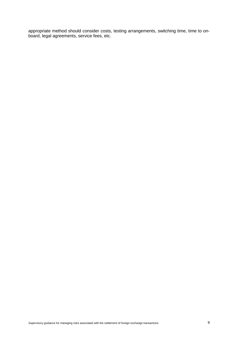appropriate method should consider costs, testing arrangements, switching time, time to onboard, legal agreements, service fees, etc.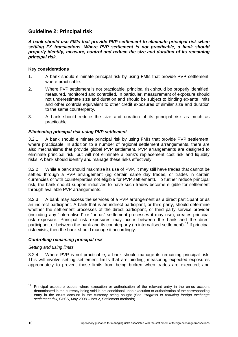# **Guideline 2: Principal risk**

*A bank should use FMIs that provide PVP settlement to eliminate principal risk when settling FX transactions. Where PVP settlement is not practicable, a bank should properly identify, measure, control and reduce the size and duration of its remaining principal risk.*

### **Key considerations**

- 1. A bank should eliminate principal risk by using FMIs that provide PVP settlement, where practicable.
- 2. Where PVP settlement is not practicable, principal risk should be properly identified, measured, monitored and controlled. In particular, measurement of exposure should not underestimate size and duration and should be subject to binding ex-ante limits and other controls equivalent to other credit exposures of similar size and duration to the same counterparty.
- 3. A bank should reduce the size and duration of its principal risk as much as practicable.

### *Eliminating principal risk using PVP settlement*

3.2.1 A bank should eliminate principal risk by using FMIs that provide PVP settlement, where practicable. In addition to a number of regional settlement arrangements, there are also mechanisms that provide global PVP settlement. PVP arrangements are designed to eliminate principal risk, but will not eliminate a bank's replacement cost risk and liquidity risks. A bank should identify and manage these risks effectively.

3.2.2 While a bank should maximise its use of PVP, it may still have trades that cannot be settled through a PVP arrangement (eg certain same day trades, or trades in certain currencies or with counterparties not eligible for PVP settlement). To further reduce principal risk, the bank should support initiatives to have such trades become eligible for settlement through available PVP arrangements.

3.2.3 A bank may access the services of a PVP arrangement as a direct participant or as an indirect participant. A bank that is an indirect participant, or third party, should determine whether the settlement processes of the direct participant, or third party service provider (including any "internalised" or "on-us" settlement processes it may use), creates principal risk exposure. Principal risk exposures may occur between the bank and the direct participant, or between the bank and its counterparty (in internalised settlement).<sup>[11](#page-13-0)</sup> If principal risk exists, then the bank should manage it accordingly.

### *Controlling remaining principal risk*

### *Setting and using limits*

3.2.4 Where PVP is not practicable, a bank should manage its remaining principal risk. This will involve setting settlement limits that are binding; measuring expected exposures appropriately to prevent those limits from being broken when trades are executed; and

<span id="page-13-0"></span><sup>&</sup>lt;sup>11</sup> Principal exposure occurs where execution or authorisation of the relevant entry in the on-us account denominated in the currency being sold is not conditional upon execution or authorisation of the corresponding entry in the on-us account in the currency being bought (See *Progress in reducing foreign exchange settlement risk,* CPSS, May 2008 – Box 2, Settlement methods).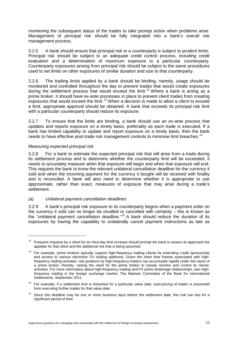monitoring the subsequent status of the trades to take prompt action when problems arise. Management of principal risk should be fully integrated into a bank's overall risk management process.

3.2.5 A bank should ensure that principal risk to a counterparty is subject to prudent limits. Principal risk should be subject to an adequate credit control process, including credit evaluation and a determination of maximum exposure to a particular counterparty. Counterparty exposures arising from principal risk should be subject to the same procedures used to set limits on other exposures of similar duration and size to that counterparty.

3.2.6 The trading limits applied by a bank should be binding, namely, usage should be monitored and controlled throughout the day to prevent trades that would create exposures during the settlement process that would exceed the limit.<sup>[12](#page-14-0)</sup> Where a bank is acting as a prime broker, it should have ex-ante processes in place to prevent client trades from creating exposures that would exceed the limit.<sup>[13](#page-14-1)</sup> When a decision is made to allow a client to exceed a limit, appropriate approval should be obtained. A bank that exceeds its principal risk limit with a particular counterparty should reduce its exposure.

3.2.7 To ensure that the limits are binding, a bank should use an ex-ante process that updates and reports exposure on a timely basis, preferably as each trade is executed. If a bank has limited capability to update and report exposure on a timely basis, then the bank needs to have effective post-trade risk management controls to minimise limit breaches.<sup>[14](#page-14-2)</sup>

### *Measuring expected principal risk*

-

3.2.8 For a bank to estimate the expected principal risk that will arise from a trade during its settlement process and to determine whether the counterparty limit will be exceeded, it needs to accurately measure when that exposure will begin and when that exposure will end. This requires the bank to know the relevant unilateral cancellation deadline for the currency it sold and when the incoming payment for the currency it bought will be received with finality and is reconciled. A bank will also need to determine whether it is appropriate to use approximate, rather than exact, measures of exposure that may arise during a trade's settlement.

### *(a) Unilateral payment cancellation deadlines*

3.2.9 A bank's principal risk exposure to its counterparty begins when a payment order on the currency it sold can no longer be recalled or cancelled with certainty – this is known as the "unilateral payment cancellation deadline." [15](#page-14-3) A bank should reduce the duration of its exposures by having the capability to unilaterally cancel payment instructions as late as

<span id="page-14-0"></span> $12$  Frequent requests by a client for an intra-day limit increase should prompt the bank to assess its approved risk appetite for that client and the additional risk that is being assumed.

<span id="page-14-1"></span><sup>&</sup>lt;sup>13</sup> For example, prime brokers typically support high-frequency trading clients by extending credit sponsorship and access to various electronic FX trading platforms. Given the short time frames associated with highfrequency trading activities, risk positions by high-frequency traders can accumulate rapidly under the name of a prime broker; thereby, raising the need for the prime broker to closely monitor and control its clients' activities. For more information about high-frequency trading and FX prime brokerage relationships, see *Highfrequency trading in the foreign exchange market*, The Markets Committee of the Bank for International Settlements, September 2011.

<span id="page-14-2"></span><sup>&</sup>lt;sup>14</sup> For example, if a settlement limit is breached for a particular value date, auto-pricing of trades is prevented from executing further trades for that value date.

<span id="page-14-3"></span>Since this deadline may be one or more business days before the settlement date, this risk can last for a significant period of time.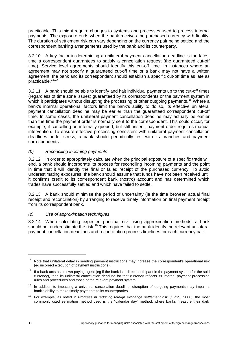practicable. This might require changes to systems and processes used to process internal payments. The exposure ends when the bank receives the purchased currency with finality. The duration of settlement risk can vary depending on the currency pair being settled and the correspondent banking arrangements used by the bank and its counterparty.

3.2.10 A key factor in determining a unilateral payment cancellation deadline is the latest time a correspondent guarantees to satisfy a cancellation request (the guaranteed cut-off time). Service level agreements should identify this cut-off time. In instances where an agreement may not specify a guaranteed cut-off time or a bank may not have a written agreement, the bank and its correspondent should establish a specific cut-off time as late as practicable.<sup>[16](#page-15-0),17</sup>

3.2.11 A bank should be able to identify and halt individual payments up to the cut-off times (regardless of time zone issues) guaranteed by its correspondents or the payment system in which it participates without disrupting the processing of other outgoing payments.<sup>[18](#page-15-2)</sup> Where a bank's internal operational factors limit the bank's ability to do so, its effective unilateral payment cancellation deadline may be earlier than the guaranteed correspondent cut-off time. In some cases, the unilateral payment cancellation deadline may actually be earlier than the time the payment order is normally sent to the correspondent. This could occur, for example, if cancelling an internally queued, but still unsent, payment order requires manual intervention. To ensure effective processing consistent with unilateral payment cancellation deadlines under stress, a bank should periodically test with its branches and payment correspondents.

### *(b) Reconciling incoming payments*

3.2.12 In order to appropriately calculate when the principal exposure of a specific trade will end, a bank should incorporate its process for reconciling incoming payments and the point in time that it will identify the final or failed receipt of the purchased currency. To avoid underestimating exposures, the bank should assume that funds have not been received until it confirms credit to its correspondent bank (nostro) account and has determined which trades have successfully settled and which have failed to settle.

3.2.13 A bank should minimise the period of uncertainty (ie the time between actual final receipt and reconciliation) by arranging to receive timely information on final payment receipt from its correspondent bank.

### *(c) Use of approximation techniques*

3.2.14 When calculating expected principal risk using approximation methods, a bank should not underestimate the risk.<sup>[19](#page-15-3)</sup> This requires that the bank identify the relevant unilateral payment cancellation deadlines and reconciliation process timelines for each currency pair.

<span id="page-15-0"></span><sup>&</sup>lt;sup>16</sup> Note that unilateral delay in sending payment instructions may increase the correspondent's operational risk (eg incorrect execution of payment instructions).

<span id="page-15-1"></span> $17$  If a bank acts as its own paying agent (eg if the bank is a direct participant in the payment system for the sold currency), then its unilateral cancellation deadline for that currency reflects its internal payment processing rules and procedures and those of the relevant payment system.

<span id="page-15-2"></span><sup>&</sup>lt;sup>18</sup> In addition to impacting a universal cancellation deadline, disruption of outgoing payments may impair a bank's ability to make timely payments to its counterparties.

<span id="page-15-3"></span><sup>19</sup> For example, as noted in *Progress in reducing foreign exchange settlement risk* (CPSS, 2008), the most commonly cited estimation method used is the "calendar day" method, where banks measure their daily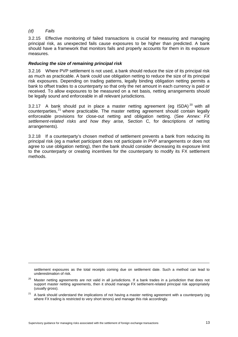### *(d) Fails*

-

3.2.15 Effective monitoring of failed transactions is crucial for measuring and managing principal risk, as unexpected fails cause exposures to be higher than predicted. A bank should have a framework that monitors fails and properly accounts for them in its exposure measures.

### *Reducing the size of remaining principal risk*

3.2.16 Where PVP settlement is not used, a bank should reduce the size of its principal risk as much as practicable. A bank could use obligation netting to reduce the size of its principal risk exposures. Depending on trading patterns, legally binding obligation netting permits a bank to offset trades to a counterparty so that only the net amount in each currency is paid or received. To allow exposures to be measured on a net basis, netting arrangements should be legally sound and enforceable in all relevant jurisdictions.

3.2.17 A bank should put in place a master netting agreement (eg ISDA) $^{20}$  $^{20}$  $^{20}$  with all counterparties, [21](#page-16-1) where practicable. The master netting agreement should contain legally enforceable provisions for close-out netting and obligation netting. (See *Annex: FX settlement-related risks and how they arise,* Section C, for descriptions of netting arrangements).

3.2.18 If a counterparty's chosen method of settlement prevents a bank from reducing its principal risk (eg a market participant does not participate in PVP arrangements or does not agree to use obligation netting), then the bank should consider decreasing its exposure limit to the counterparty or creating incentives for the counterparty to modify its FX settlement methods.

settlement exposures as the total receipts coming due on settlement date. Such a method can lead to underestimation of risk.

<span id="page-16-0"></span><sup>&</sup>lt;sup>20</sup> Master netting agreements are not valid in all jurisdictions. If a bank trades in a jurisdiction that does not support master netting agreements, then it should manage FX settlement-related principal risk appropriately (usually gross).

<span id="page-16-1"></span><sup>21</sup> A bank should understand the implications of not having a master netting agreement with a counterparty (eg where FX trading is restricted to very short tenors) and manage this risk accordingly.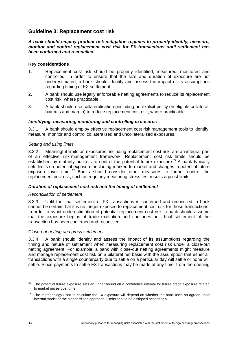# **Guideline 3: Replacement cost risk**

*A bank should employ prudent risk mitigation regimes to properly identify, measure, monitor and control replacement cost risk for FX transactions until settlement has been confirmed and reconciled.* 

### **Key considerations**

- 1. Replacement cost risk should be properly identified, measured, monitored and controlled. In order to ensure that the size and duration of exposure are not underestimated, a bank should identify and assess the impact of its assumptions regarding timing of FX settlement.
- 2. A bank should use legally enforceable netting agreements to reduce its replacement cost risk, where practicable.
- 3. A bank should use collateralisation (including an explicit policy on eligible collateral, haircuts and margin) to reduce replacement cost risk, where practicable.

#### *Identifying, measuring, monitoring and controlling exposures*

3.3.1 A bank should employ effective replacement cost risk management tools to identify, measure, monitor and control collateralised and uncollateralised exposures.

#### *Setting and using limits*

3.3.2 Meaningful limits on exposures, including replacement cost risk, are an integral part of an effective risk-management framework. Replacement cost risk limits should be established by maturity buckets to control the potential future exposure.<sup>[22](#page-17-0)</sup> A bank typically sets limits on potential exposure, including marked-to-market and changes in potential future exposure over time.<sup>[23](#page-17-1)</sup> Banks should consider other measures to further control the replacement cost risk, such as regularly measuring stress test results against limits.

### *Duration of replacement cost risk and the timing of settlement*

#### *Reconciliation of settlement*

3.3.3 Until the final settlement of FX transactions is confirmed and reconciled, a bank cannot be certain that it is no longer exposed to replacement cost risk for those transactions. In order to avoid underestimation of potential replacement cost risk, a bank should assume that the exposure begins at trade execution and continues until final settlement of the transaction has been confirmed and reconciled.

#### *Close-out netting and gross settlement*

3.3.4 A bank should identify and assess the impact of its assumptions regarding the timing and nature of settlement when measuring replacement cost risk under a close-out netting agreement. For example, a bank with close-out netting agreements might measure and manage replacement cost risk on a bilateral net basis with the assumption that either all transactions with a single counterparty due to settle on a particular day will settle or none will settle. Since payments to settle FX transactions may be made at any time, from the opening

<span id="page-17-0"></span> $22$  The potential future exposure sets an upper bound on a confidence interval for future credit exposure related to market prices over time.

<span id="page-17-1"></span><sup>&</sup>lt;sup>23</sup> The methodology used to calculate the FX exposure will depend on whether the bank uses an agreed-upon internal model or the standardised approach. Limits should be assigned accordingly.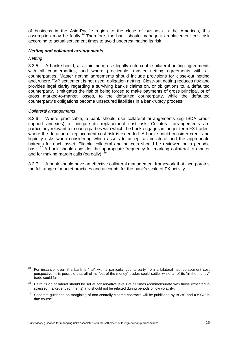of business in the Asia-Pacific region to the close of business in the Americas, this assumption may be faulty.<sup>[24](#page-18-0)</sup> Therefore, the bank should manage its replacement cost risk according to actual settlement times to avoid underestimating its risk.

#### *Netting and collateral arrangements*

*Netting* 

-

3.3.5 A bank should, at a minimum, use legally enforceable bilateral netting agreements with all counterparties, and where practicable, master netting agreements with all counterparties. Master netting agreements should include provisions for close-out netting and, where PVP settlement is not used, obligation netting. Close-out netting reduces risk and provides legal clarity regarding a surviving bank's claims on, or obligations to, a defaulted counterparty. It mitigates the risk of being forced to make payments of gross principal, or of gross marked-to-market losses, to the defaulted counterparty, while the defaulted counterparty's obligations become unsecured liabilities in a bankruptcy process.

#### *Collateral arrangements*

3.3.6 Where practicable, a bank should use collateral arrangements (eg ISDA credit support annexes) to mitigate its replacement cost risk. Collateral arrangements are particularly relevant for counterparties with which the bank engages in longer-term FX trades, where the duration of replacement cost risk is extended. A bank should consider credit and liquidity risks when considering which assets to accept as collateral and the appropriate haircuts for each asset. Eligible collateral and haircuts should be reviewed on a periodic basis.<sup>[25](#page-18-1)</sup> A bank should consider the appropriate frequency for marking collateral to market and for making margin calls (eg daily).  $^{2}$ 

3.3.7 A bank should have an effective collateral management framework that incorporates the full range of market practices and accounts for the bank's scale of FX activity.

<span id="page-18-0"></span><sup>&</sup>lt;sup>24</sup> For instance, even if a bank is "flat" with a particular counterparty from a bilateral net replacement cost perspective, it is possible that all of its "out-of-the-money" trades could settle, while all of its "in-the-money" trade could fail.

<span id="page-18-1"></span><sup>&</sup>lt;sup>25</sup> Haircuts on collateral should be set at conservative levels at all times (commensurate with those expected in stressed market environments) and should not be relaxed during periods of low volatility.

<span id="page-18-2"></span><sup>&</sup>lt;sup>26</sup> Separate guidance on margining of non-centrally cleared contracts will be published by BCBS and IOSCO in due course.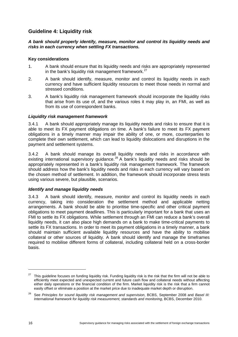# **Guideline 4: Liquidity risk**

### *A bank should properly identify, measure, monitor and control its liquidity needs and risks in each currency when settling FX transactions.*

### **Key considerations**

- 1. A bank should ensure that its liquidity needs and risks are appropriately represented in the bank's liquidity risk management framework. $27$
- 2. A bank should identify, measure, monitor and control its liquidity needs in each currency and have sufficient liquidity resources to meet those needs in normal and stressed conditions.
- 3. A bank's liquidity risk management framework should incorporate the liquidity risks that arise from its use of, and the various roles it may play in, an FMI, as well as from its use of correspondent banks.

### *Liquidity risk management framework*

3.4.1 A bank should appropriately manage its liquidity needs and risks to ensure that it is able to meet its FX payment obligations on time. A bank's failure to meet its FX payment obligations in a timely manner may impair the ability of one, or more, counterparties to complete their own settlement, which can lead to liquidity dislocations and disruptions in the payment and settlement systems.

3.4.2 A bank should manage its overall liquidity needs and risks in accordance with existing international supervisory guidance.<sup>[28](#page-19-1)</sup> A bank's liquidity needs and risks should be appropriately represented in a bank's liquidity risk management framework. The framework should address how the bank's liquidity needs and risks in each currency will vary based on the chosen method of settlement. In addition, the framework should incorporate stress tests using various severe, but plausible, scenarios.

### *Identify and manage liquidity needs*

3.4.3 A bank should identify, measure, monitor and control its liquidity needs in each currency, taking into consideration the settlement method and applicable netting arrangements. A bank should be able to prioritise time-specific and other critical payment obligations to meet payment deadlines. This is particularly important for a bank that uses an FMI to settle its FX obligations. While settlement through an FMI can reduce a bank's overall liquidity needs, it can also place high demands on a bank to make time-critical payments to settle its FX transactions. In order to meet its payment obligations in a timely manner, a bank should maintain sufficient available liquidity resources and have the ability to mobilise collateral or other sources of liquidity. A bank should identify and manage the timeframes required to mobilise different forms of collateral, including collateral held on a cross-border basis.

<span id="page-19-0"></span><sup>&</sup>lt;sup>27</sup> This guideline focuses on funding liquidity risk. Funding liquidity risk is the risk that the firm will not be able to efficiently meet expected and unexpected current and future cash flow and collateral needs without affecting either daily operations or the financial condition of the firm. Market liquidity risk is the risk that a firm cannot easily offset or eliminate a position at the market price due to inadequate market depth or disruption.

<span id="page-19-1"></span><sup>28</sup> See *Principles for sound liquidity risk management and supervision*, BCBS, September 2008 and *Basel III: International framework for liquidity risk measurement, standards and monitoring*, BCBS, December 2010.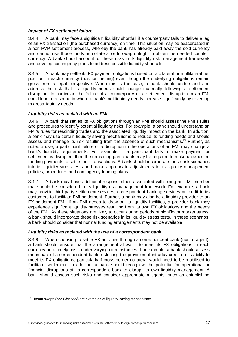### *Impact of FX settlement failure*

3.4.4 A bank may face a significant liquidity shortfall if a counterparty fails to deliver a leg of an FX transaction (the purchased currency) on time. This situation may be exacerbated in a non-PVP settlement process, whereby the bank has already paid away the sold currency and cannot use those funds as collateral or to swap outright to obtain the needed countercurrency. A bank should account for these risks in its liquidity risk management framework and develop contingency plans to address possible liquidity shortfalls.

3.4.5 A bank may settle its FX payment obligations based on a bilateral or multilateral net position in each currency (position netting) even though the underlying obligations remain gross from a legal perspective. When this is the case, a bank should understand and address the risk that its liquidity needs could change materially following a settlement disruption. In particular, the failure of a counterparty or a settlement disruption in an FMI could lead to a scenario where a bank's net liquidity needs increase significantly by reverting to gross liquidity needs.

### *Liquidity risks associated with an FMI*

3.4.6 A bank that settles its FX obligations through an FMI should assess the FMI's rules and procedures to identify potential liquidity risks. For example, a bank should understand an FMI's rules for rescinding trades and the associated liquidity impact on the bank. In addition, a bank may use certain liquidity-saving mechanisms to reduce its funding needs and should assess and manage its risk resulting from the absence of such mechanisms.<sup>[29](#page-20-0)</sup> Further, as noted above, a participant failure or a disruption to the operations of an FMI may change a bank's liquidity requirements. For example, if a participant fails to make payment or settlement is disrupted, then the remaining participants may be required to make unexpected funding payments to settle their transactions. A bank should incorporate these risk scenarios into its liquidity stress tests and make appropriate adjustments to its liquidity management policies, procedures and contingency funding plans.

3.4.7 A bank may have additional responsibilities associated with being an FMI member that should be considered in its liquidity risk management framework. For example, a bank may provide third party settlement services, correspondent banking services or credit to its customers to facilitate FMI settlement. Further, a bank may also be a liquidity provider to an FX settlement FMI. If an FMI needs to draw on its liquidity facilities, a provider bank may experience significant liquidity stresses resulting from its own FX obligations and the needs of the FMI. As these situations are likely to occur during periods of significant market stress, a bank should incorporate these risk scenarios in its liquidity stress tests. In these scenarios, a bank should consider that normal funding arrangements may not be available.

### *Liquidity risks associated with the use of a correspondent bank*

3.4.8 When choosing to settle FX activities through a correspondent bank (nostro agent), a bank should ensure that the arrangement allows it to meet its FX obligations in each currency on a timely basis under varying circumstances. For example, a bank should assess the impact of a correspondent bank restricting the provision of intraday credit on its ability to meet its FX obligations, particularly if cross-border collateral would need to be mobilised to facilitate settlement. In addition, a bank should recognise the potential for operational or financial disruptions at its correspondent bank to disrupt its own liquidity management. A bank should assess such risks and consider appropriate mitigants, such as establishing

<span id="page-20-0"></span><sup>29</sup> In/out swaps (see *Glossary*) are examples of liquidity-saving mechanisms.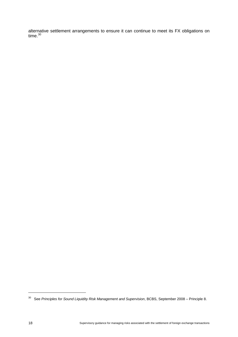alternative settlement arrangements to ensure it can continue to meet its FX obligations on time. [30](#page-21-0)

<span id="page-21-0"></span><sup>30</sup> See *Principles for Sound Liquidity Risk Management and Supervision*, BCBS, September 2008 – Principle 8.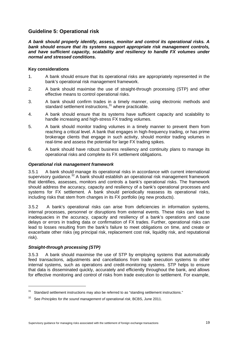# **Guideline 5: Operational risk**

*A bank should properly identify, assess, monitor and control its operational risks. A bank should ensure that its systems support appropriate risk management controls,*  and have sufficient capacity, scalability and resiliency to handle FX volumes under *normal and stressed conditions.* 

### **Key considerations**

- 1. A bank should ensure that its operational risks are appropriately represented in the bank's operational risk management framework.
- 2. A bank should maximise the use of straight-through processing (STP) and other effective means to control operational risks.
- 3. A bank should confirm trades in a timely manner, using electronic methods and standard settlement instructions, [31](#page-22-0) where practicable.
- 4. A bank should ensure that its systems have sufficient capacity and scalability to handle increasing and high-stress FX trading volumes.
- 5. A bank should monitor trading volumes in a timely manner to prevent them from reaching a critical level. A bank that engages in high-frequency trading, or has prime brokerage clients that engage in such activity, should monitor trading volumes in real-time and assess the potential for large FX trading spikes.
- 6. A bank should have robust business resiliency and continuity plans to manage its operational risks and complete its FX settlement obligations.

### *Operational risk management framework*

3.5.1 A bank should manage its operational risks in accordance with current international supervisory guidance.<sup>[32](#page-22-1)</sup> A bank should establish an operational risk management framework that identifies, assesses, monitors and controls a bank's operational risks. The framework should address the accuracy, capacity and resiliency of a bank's operational processes and systems for FX settlement. A bank should periodically reassess its operational risks, including risks that stem from changes in its FX portfolio (eg new products).

3.5.2 A bank's operational risks can arise from deficiencies in information systems, internal processes, personnel or disruptions from external events. These risks can lead to inadequacies in the accuracy, capacity and resiliency of a bank's operations and cause delays or errors in trading data or confirmation of FX trades. Further, operational risks can lead to losses resulting from the bank's failure to meet obligations on time, and create or exacerbate other risks (eg principal risk, replacement cost risk, liquidity risk, and reputational risk).

### *Straight-through processing (STP)*

-

3.5.3 A bank should maximise the use of STP by employing systems that automatically feed transactions, adjustments and cancellations from trade execution systems to other internal systems, such as operations and credit-monitoring systems. STP helps to ensure that data is disseminated quickly, accurately and efficiently throughout the bank, and allows for effective monitoring and control of risks from trade execution to settlement. For example,

<span id="page-22-0"></span> $31$  Standard settlement instructions may also be referred to as "standing settlement instructions."

<span id="page-22-1"></span><sup>32</sup> See *Principles for the sound management of operational risk*, BCBS, June 2011.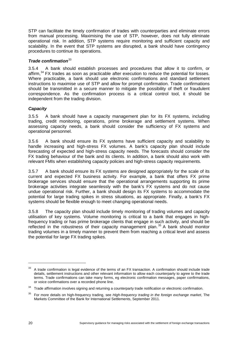STP can facilitate the timely confirmation of trades with counterparties and eliminate errors from manual processing. Maximising the use of STP, however, does not fully eliminate operational risk. In addition, STP systems require monitoring and sufficient capacity and scalability. In the event that STP systems are disrupted, a bank should have contingency procedures to continue its operations.

### **Trade confirmation**<sup>[33](#page-23-0)</sup>

3.5.4 A bank should establish processes and procedures that allow it to confirm, or affirm,<sup>[34](#page-23-1)</sup> FX trades as soon as practicable after execution to reduce the potential for losses. Where practicable, a bank should use electronic confirmations and standard settlement instructions to maximise use of STP and allow for prompt confirmation. Trade confirmations should be transmitted in a secure manner to mitigate the possibility of theft or fraudulent correspondence. As the confirmation process is a critical control tool, it should be independent from the trading division.

### *Capacity*

3.5.5 A bank should have a capacity management plan for its FX systems, including trading, credit monitoring, operations, prime brokerage and settlement systems. When assessing capacity needs, a bank should consider the sufficiency of FX systems and operational personnel.

3.5.6 A bank should ensure its FX systems have sufficient capacity and scalability to handle increasing and high-stress FX volumes. A bank's capacity plan should include forecasting of expected and high-stress capacity needs. The forecasts should consider the FX trading behaviour of the bank and its clients. In addition, a bank should also work with relevant FMIs when establishing capacity policies and high-stress capacity requirements.

3.5.7 A bank should ensure its FX systems are designed appropriately for the scale of its current and expected FX business activity. For example, a bank that offers FX prime brokerage services should ensure that the operational arrangements supporting its prime brokerage activities integrate seamlessly with the bank's FX systems and do not cause undue operational risk. Further, a bank should design its FX systems to accommodate the potential for large trading spikes in stress situations, as appropriate. Finally, a bank's FX systems should be flexible enough to meet changing operational needs.

3.5.8 The capacity plan should include timely monitoring of trading volumes and capacity utilisation of key systems. Volume monitoring is critical to a bank that engages in highfrequency trading or has prime brokerage clients that engage in such activity, and should be reflected in the robustness of their capacity management plan.<sup>[35](#page-23-2)</sup> A bank should monitor trading volumes in a timely manner to prevent them from reaching a critical level and assess the potential for large FX trading spikes.

<span id="page-23-0"></span><sup>&</sup>lt;sup>33</sup> A trade confirmation is legal evidence of the terms of an FX transaction. A confirmation should include trade details, settlement instructions and other relevant information to allow each counterparty to agree to the trade terms. Trade confirmations can take many forms, eg electronic confirmation messages, paper confirmations, or voice confirmations over a recorded phone line.

<span id="page-23-1"></span><sup>&</sup>lt;sup>34</sup> Trade affirmation involves signing and returning a counterparty trade notification or electronic confirmation.

<span id="page-23-2"></span><sup>35</sup> For more details on high-frequency trading, see *High-frequency trading in the foreign exchange market*, The Markets Committee of the Bank for International Settlements, September 2011.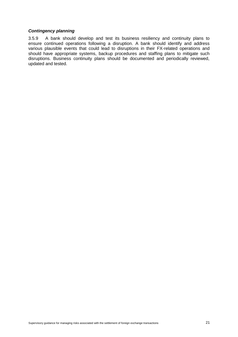### *Contingency planning*

3.5.9 A bank should develop and test its business resiliency and continuity plans to ensure continued operations following a disruption. A bank should identify and address various plausible events that could lead to disruptions in their FX-related operations and should have appropriate systems, backup procedures and staffing plans to mitigate such disruptions. Business continuity plans should be documented and periodically reviewed, updated and tested.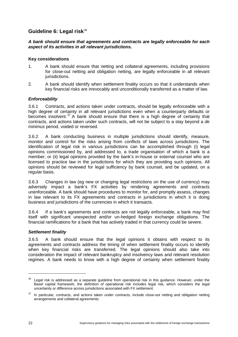# **Guideline 6: Legal risk**[36](#page-25-0)

### *A bank should ensure that agreements and contracts are legally enforceable for each aspect of its activities in all relevant jurisdictions.*

### **Key considerations**

- 1. A bank should ensure that netting and collateral agreements, including provisions for close-out netting and obligation netting, are legally enforceable in all relevant jurisdictions.
- 2. A bank should identify when settlement finality occurs so that it understands when key financial risks are irrevocably and unconditionally transferred as a matter of law.

### *Enforceability*

3.6.1 Contracts, and actions taken under contracts, should be legally enforceable with a high degree of certainty in all relevant jurisdictions even when a counterparty defaults or becomes insolvent.<sup>[37](#page-25-1)</sup> A bank should ensure that there is a high degree of certainty that contracts, and actions taken under such contracts, will not be subject to a stay beyond a *de minimus* period, voided or reversed.

3.6.2 A bank conducting business in multiple jurisdictions should identify, measure, monitor and control for the risks arising from conflicts of laws across jurisdictions. The identification of legal risk in various jurisdictions can be accomplished through (i) legal opinions commissioned by, and addressed to, a trade organisation of which a bank is a member; or (ii) legal opinions provided by the bank's in-house or external counsel who are licensed to practice law in the jurisdictions for which they are providing such opinions. All opinions should be reviewed for legal sufficiency by bank counsel, and be updated, on a regular basis.

3.6.3 Changes in law (eg new or changing legal restrictions on the use of currency) may adversely impact a bank's FX activities by rendering agreements and contracts unenforceable. A bank should have procedures to monitor for, and promptly assess, changes in law relevant to its FX agreements and contracts in jurisdictions in which it is doing business and jurisdictions of the currencies in which it transacts.

3.6.4 If a bank's agreements and contracts are not legally enforceable, a bank may find itself with significant unexpected and/or un-hedged foreign exchange obligations. The financial ramifications for a bank that has actively traded in that currency could be severe.

### *Settlement finality*

3.6.5 A bank should ensure that the legal opinions it obtains with respect to its agreements and contracts address the timing of when settlement finality occurs to identify when key financial risks are transferred. The legal opinions should also take into consideration the impact of relevant bankruptcy and insolvency laws and relevant resolution regimes. A bank needs to know with a high degree of certainty when settlement finality

<span id="page-25-0"></span>Legal risk is addressed as a separate guideline from operational risk in this guidance. However, under the Basel capital framework, the definition of operational risk includes legal risk, which considers the legal uncertainty or difference across jurisdictions associated with FX settlement.

<span id="page-25-1"></span>In particular, contracts, and actions taken under contracts, include close-out netting and obligation netting arrangements and collateral agreements.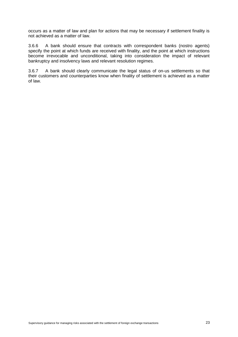occurs as a matter of law and plan for actions that may be necessary if settlement finality is not achieved as a matter of law.

3.6.6 A bank should ensure that contracts with correspondent banks (nostro agents) specify the point at which funds are received with finality, and the point at which instructions become irrevocable and unconditional, taking into consideration the impact of relevant bankruptcy and insolvency laws and relevant resolution regimes.

3.6.7 A bank should clearly communicate the legal status of on-us settlements so that their customers and counterparties know when finality of settlement is achieved as a matter of law.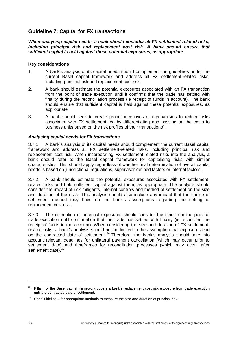# **Guideline 7: Capital for FX transactions**

*When analysing capital needs, a bank should consider all FX settlement-related risks, including principal risk and replacement cost risk. A bank should ensure that sufficient capital is held against these potential exposures, as appropriate.*

### **Key considerations**

- 1. A bank's analysis of its capital needs should complement the guidelines under the current Basel capital framework and address all FX settlement-related risks, including principal risk and replacement cost risk.
- 2. A bank should estimate the potential exposures associated with an FX transaction from the point of trade execution until it confirms that the trade has settled with finality during the reconciliation process (ie receipt of funds in account). The bank should ensure that sufficient capital is held against these potential exposures, as appropriate.
- 3. A bank should seek to create proper incentives or mechanisms to reduce risks associated with FX settlement (eg by differentiating and passing on the costs to business units based on the risk profiles of their transactions).

### *Analysing capital needs for FX transactions*

3.7.1 A bank's analysis of its capital needs should complement the current Basel capital framework and address all FX settlement-related risks, including principal risk and replacement cost risk. When incorporating FX settlement-related risks into the analysis, a bank should refer to the Basel capital framework for capitalising risks with similar characteristics. This should apply regardless of whether final determination of overall capital needs is based on jurisdictional regulations, supervisor-defined factors or internal factors.

3.7.2 A bank should estimate the potential exposures associated with FX settlementrelated risks and hold sufficient capital against them, as appropriate. The analysis should consider the impact of risk mitigants, internal controls and method of settlement on the size and duration of the risks. This analysis should also include any impact that the choice of settlement method may have on the bank's assumptions regarding the netting of replacement cost risk.

3.7.3 The estimation of potential exposures should consider the time from the point of trade execution until confirmation that the trade has settled with finality (ie reconciled the receipt of funds in the account). When considering the size and duration of FX settlementrelated risks, a bank's analysis should not be limited to the assumption that exposures end on the contracted date of settlement.<sup>[38](#page-27-0)</sup> Therefore, the bank's analysis should take into account relevant deadlines for unilateral payment cancellation (which may occur prior to settlement date) and timeframes for reconciliation processes (which may occur after settlement date). [39](#page-27-1)

<span id="page-27-0"></span><sup>&</sup>lt;sup>38</sup> Pillar I of the Basel capital framework covers a bank's replacement cost risk exposure from trade execution until the contracted date of settlement.

<span id="page-27-1"></span> $39$  See Guideline 2 for appropriate methods to measure the size and duration of principal risk.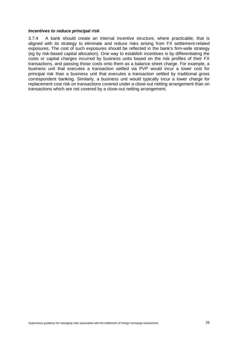#### *Incentives to reduce principal risk*

3.7.4 A bank should create an internal incentive structure, where practicable, that is aligned with its strategy to eliminate and reduce risks arising from FX settlement-related exposures. The cost of such exposures should be reflected in the bank's firm-wide strategy (eg by risk-based capital allocation). One way to establish incentives is by differentiating the costs or capital charges incurred by business units based on the risk profiles of their FX transactions, and passing those costs onto them as a balance sheet charge. For example, a business unit that executes a transaction settled via PVP would incur a lower cost for principal risk than a business unit that executes a transaction settled by traditional gross correspondent banking. Similarly, a business unit would typically incur a lower charge for replacement cost risk on transactions covered under a close-out netting arrangement than on transactions which are not covered by a close-out netting arrangement.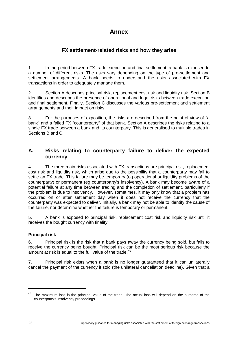# **Annex**

# **FX settlement-related risks and how they arise**

1. In the period between FX trade execution and final settlement, a bank is exposed to a number of different risks. The risks vary depending on the type of pre-settlement and settlement arrangements. A bank needs to understand the risks associated with FX transactions in order to adequately manage them.

2. Section A describes principal risk, replacement cost risk and liquidity risk. Section B identifies and describes the presence of operational and legal risks between trade execution and final settlement. Finally, Section C discusses the various pre-settlement and settlement arrangements and their impact on risks.

3. For the purposes of exposition, the risks are described from the point of view of "a bank" and a failed FX "counterparty" of that bank. Section A describes the risks relating to a single FX trade between a bank and its counterparty. This is generalised to multiple trades in Sections B and C.

# **A. Risks relating to counterparty failure to deliver the expected currency**

4. The three main risks associated with FX transactions are principal risk, replacement cost risk and liquidity risk, which arise due to the possibility that a counterparty may fail to settle an FX trade. This failure may be temporary (eg operational or liquidity problems of the counterparty) or permanent (eg counterparty's insolvency). A bank may become aware of a potential failure at any time between trading and the completion of settlement, particularly if the problem is due to insolvency. However, sometimes, it may only know that a problem has occurred on or after settlement day when it does not receive the currency that the counterparty was expected to deliver. Initially, a bank may not be able to identify the cause of the failure, nor determine whether the failure is temporary or permanent.

5. A bank is exposed to principal risk, replacement cost risk and liquidity risk until it receives the bought currency with finality.

### **Principal risk**

6. Principal risk is the risk that a bank pays away the currency being sold, but fails to receive the currency being bought. Principal risk can be the most serious risk because the amount at risk is equal to the full value of the trade.<sup>[40](#page-29-0)</sup>

7. Principal risk exists when a bank is no longer guaranteed that it can unilaterally cancel the payment of the currency it sold (the unilateral cancellation deadline). Given that a

<span id="page-29-0"></span><sup>&</sup>lt;sup>40</sup> The maximum loss is the principal value of the trade. The actual loss will depend on the outcome of the counterparty's insolvency proceedings.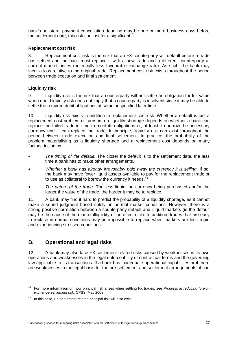bank's unilateral payment cancellation deadline may be one or more business days before the settlement date, this risk can last for a significant.<sup>[41](#page-30-0)</sup>

### **Replacement cost risk**

8. Replacement cost risk is the risk that an FX counterparty will default before a trade has settled and the bank must replace it with a new trade and a different counterparty at current market prices (potentially less favourable exchange rate). As such, the bank may incur a loss relative to the original trade. Replacement cost risk exists throughout the period between trade execution and final settlement.

### **Liquidity risk**

9. Liquidity risk is the risk that a counterparty will not settle an obligation for full value when due. Liquidity risk does not imply that a counterparty is insolvent since it may be able to settle the required debit obligations at some unspecified later time.

10. Liquidity risk exists in addition to replacement cost risk. Whether a default is just a replacement cost problem or turns into a liquidity shortage depends on whether a bank can replace the failed trade in time to meet its obligations or, at least, to borrow the necessary currency until it can replace the trade. In principle, liquidity risk can exist throughout the period between trade execution and final settlement. In practice, the probability of the problem materialising as a liquidity shortage and a replacement cost depends on many factors, including:

- *The timing of the default.* The closer the default is to the settlement date, the less time a bank has to make other arrangements.
- *Whether a bank has already irrevocably paid away the currency it is selling.* If so, the bank may have fewer liquid assets available to pay for the replacement trade or to use as collateral to borrow the currency it needs. $42$
- *The nature of the trade.* The less liquid the currency being purchased and/or the larger the value of the trade, the harder it may be to replace.

11. A bank may find it hard to predict the probability of a liquidity shortage, as it cannot make a sound judgment based solely on normal market conditions. However, there is a strong positive correlation between a counterparty default and illiquid markets (ie the default may be the cause of the market illiquidity or an effect of it). In addition, trades that are easy to replace in normal conditions may be impossible to replace when markets are less liquid and experiencing stressed conditions.

# **B. Operational and legal risks**

-

12. A bank may also face FX settlement-related risks caused by weaknesses in its own operations and weaknesses in the legal enforceability of contractual terms and the governing law applicable to its transactions. If a bank has inadequate operational capabilities or if there are weaknesses in the legal basis for the pre-settlement and settlement arrangements, it can

<span id="page-30-0"></span><sup>41</sup> For more information on how principal risk arises when settling FX trades, see *Progress in reducing foreign exchange settlement risk*, CPSS, May 2008.

<span id="page-30-1"></span> $42$  In this case, FX settlement-related principal risk will also exist.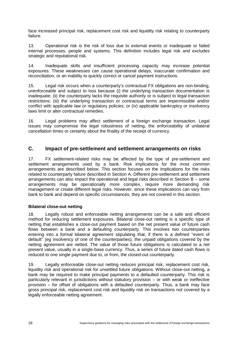face increased principal risk, replacement cost risk and liquidity risk relating to counterparty failure.

13. Operational risk is the risk of loss due to external events or inadequate or failed internal processes, people and systems. This definition includes legal risk and excludes strategic and reputational risk.

14. Inadequate skills and insufficient processing capacity may increase potential exposures. These weaknesses can cause operational delays, inaccurate confirmation and reconciliation, or an inability to quickly correct or cancel payment instructions.

15. Legal risk occurs when a counterparty's contractual FX obligations are non-binding, unenforceable and subject to loss because (i) the underlying transaction documentation is inadequate; (ii) the counterparty lacks the requisite authority or is subject to legal transaction restrictions; (iii) the underlying transaction or contractual terms are impermissible and/or conflict with applicable law or regulatory policies; or (iv) applicable bankruptcy or insolvency laws limit or alter contractual remedies.

16. Legal problems may affect settlement of a foreign exchange transaction. Legal issues may compromise the legal robustness of netting, the enforceability of unilateral cancellation times or certainty about the finality of the receipt of currency.

## **C. Impact of pre-settlement and settlement arrangements on risks**

17. FX settlement-related risks may be affected by the type of pre-settlement and settlement arrangements used by a bank. Risk implications for the most common arrangements are described below. This section focuses on the implications for the risks related to counterparty failure described in Section A. Different pre-settlement and settlement arrangements can also impact the operational and legal risks described in Section B – some arrangements may be operationally more complex, require more demanding risk management or create different legal risks. However, since these implications can vary from bank to bank and depend on specific circumstances, they are not covered in this section.

### **Bilateral close-out netting**

18. Legally robust and enforceable netting arrangements can be a safe and efficient method for reducing settlement exposures. Bilateral close-out netting is a specific type of netting that establishes a close-out payment based on the net present value of future cash flows between a bank and a defaulting counterparty. This involves two counterparties entering into a formal bilateral agreement stipulating that, if there is a defined "event of default" (eg insolvency of one of the counterparties), the unpaid obligations covered by the netting agreement are netted. The value of those future obligations is calculated to a net present value, usually in a single-base currency. Thus, a series of future dated cash flows is reduced to one single payment due to, or from, the closed-out counterparty.

19. Legally enforceable close-out netting reduces principal risk, replacement cost risk, liquidity risk and operational risk for unsettled future obligations. Without close-out netting, a bank may be required to make principal payments to a defaulted counterparty. This risk is particularly relevant in jurisdictions without statutory provision – or with weak or ineffective provision – for offset of obligations with a defaulted counterparty. Thus, a bank may face gross principal risk, replacement cost risk and liquidity risk on transactions not covered by a legally enforceable netting agreement.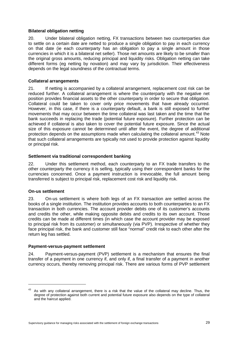### **Bilateral obligation netting**

20. Under bilateral obligation netting, FX transactions between two counterparties due to settle on a certain date are netted to produce a single obligation to pay in each currency on that date (ie each counterparty has an obligation to pay a single amount in those currencies in which it is a bilateral net seller). Those net amounts are likely to be smaller than the original gross amounts, reducing principal and liquidity risks. Obligation netting can take different forms (eg netting by novation) and may vary by jurisdiction. Their effectiveness depends on the legal soundness of the contractual terms.

### **Collateral arrangements**

21. If netting is accompanied by a collateral arrangement, replacement cost risk can be reduced further. A collateral arrangement is where the counterparty with the negative net position provides financial assets to the other counterparty in order to secure that obligation. Collateral could be taken to cover only price movements that have already occurred. However, in this case, if there is a counterparty default, a bank is still exposed to further movements that may occur between the time collateral was last taken and the time that the bank succeeds in replacing the trade (potential future exposure). Further protection can be achieved if collateral is also taken to cover the potential future exposure. Since the actual size of this exposure cannot be determined until after the event, the degree of additional protection depends on the assumptions made when calculating the collateral amount.<sup>[43](#page-32-0)</sup> Note that such collateral arrangements are typically not used to provide protection against liquidity or principal risk.

#### **Settlement via traditional correspondent banking**

22. Under this settlement method, each counterparty to an FX trade transfers to the other counterparty the currency it is selling, typically using their correspondent banks for the currencies concerned. Once a payment instruction is irrevocable, the full amount being transferred is subject to principal risk, replacement cost risk and liquidity risk.

### **On-us settlement**

-

23. On-us settlement is where both legs of an FX transaction are settled across the books of a single institution. The institution provides accounts to both counterparties to an FX transaction in both currencies. The account provider debits one of its customer's accounts and credits the other, while making opposite debits and credits to its own account. Those credits can be made at different times (in which case the account provider may be exposed to principal risk from its customer) or simultaneously (via PVP). Irrespective of whether they face principal risk, the bank and customer still face "normal" credit risk to each other after the return leg has settled.

#### **Payment-versus-payment settlement**

24. Payment-versus-payment (PVP) settlement is a mechanism that ensures the final transfer of a payment in one currency if, and only if, a final transfer of a payment in another currency occurs, thereby removing principal risk. There are various forms of PVP settlement

<span id="page-32-0"></span><sup>43</sup> As with any collateral arrangement, there is a risk that the value of the collateral may decline. Thus, the degree of protection against both current and potential future exposure also depends on the type of collateral and the haircut applied.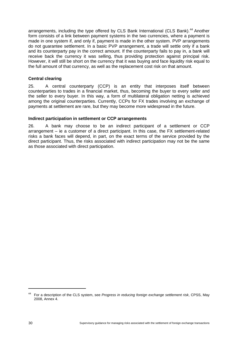arrangements, including the type offered by CLS Bank International (CLS Bank).<sup>[44](#page-33-0)</sup> Another form consists of a link between payment systems in the two currencies, where a payment is made in one system if, and only if, payment is made in the other system. PVP arrangements do not guarantee settlement. In a basic PVP arrangement, a trade will settle only if a bank and its counterparty pay in the correct amount. If the counterparty fails to pay in, a bank will receive back the currency it was selling, thus providing protection against principal risk. However, it will still be short on the currency that it was buying and face liquidity risk equal to the full amount of that currency, as well as the replacement cost risk on that amount.

### **Central clearing**

25. A central counterparty (CCP) is an entity that interposes itself between counterparties to trades in a financial market, thus, becoming the buyer to every seller and the seller to every buyer. In this way, a form of multilateral obligation netting is achieved among the original counterparties. Currently, CCPs for FX trades involving an exchange of payments at settlement are rare, but they may become more widespread in the future.

### **Indirect participation in settlement or CCP arrangements**

26. A bank may choose to be an indirect participant of a settlement or CCP arrangement – ie a customer of a direct participant. In this case, the FX settlement-related risks a bank faces will depend, in part, on the exact terms of the service provided by the direct participant. Thus, the risks associated with indirect participation may not be the same as those associated with direct participation.

<span id="page-33-0"></span><sup>44</sup> For a description of the CLS system, see *Progress in reducing foreign exchange settlement risk*, CPSS, May 2008, Annex 4.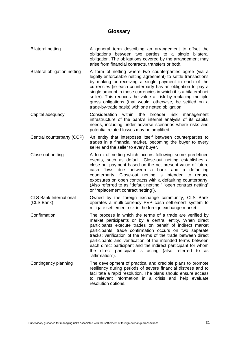### **Glossary**

- Bilateral netting The A general term describing an arrangement to offset the obligations between two parties to a single bilateral obligation. The obligations covered by the arrangement may arise from financial contracts, transfers or both.
- Bilateral obligation netting A form of netting where two counterparties agree (via a legally-enforceable netting agreement) to settle transactions by making or receiving a single payment in each of the currencies (ie each counterparty has an obligation to pay a single amount in those currencies in which it is a bilateral net seller). This reduces the value at risk by replacing multiple gross obligations (that would, otherwise, be settled on a trade-by-trade basis) with one netted obligation.
- Capital adequacy Consideration within the broader risk management infrastructure of the bank's internal analysis of its capital needs, including under adverse scenarios where risks and potential related losses may be amplified.
- Central counterparty (CCP) An entity that interposes itself between counterparties to trades in a financial market, becoming the buyer to every seller and the seller to every buyer.
- Close-out netting A form of netting which occurs following some predefined events, such as default. Close-out netting establishes a close-out payment based on the net present value of future cash flows due between a bank and a defaulting counterparty. Close-out netting is intended to reduce exposures on open contracts with a defaulting counterparty. (Also referred to as "default netting," "open contract netting" or "replacement contract netting").
- CLS Bank International (CLS Bank) Owned by the foreign exchange community, CLS Bank operates a multi-currency PVP cash settlement system to mitigate settlement risk in the foreign exchange market.
- Confirmation The process in which the terms of a trade are verified by market participants or by a central entity. When direct participants execute trades on behalf of indirect market participants, trade confirmation occurs on two separate tracks: verification of the terms of the trade between direct participants and verification of the intended terms between each direct participant and the indirect participant for whom the direct participant is acting (also referred to as "affirmation").
- Contingency planning The development of practical and credible plans to promote resiliency during periods of severe financial distress and to facilitate a rapid resolution. The plans should ensure access to relevant information in a crisis and help evaluate resolution options.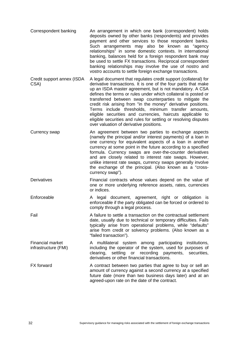| Correspondent banking | An arrangement in which one bank (correspondent) holds<br>deposits owned by other banks (respondents) and provides<br>payment and other services to those respondent banks.<br>Such arrangements may also be known as "agency<br>relationships" in some domestic contexts. In international<br>banking, balances held for a foreign respondent bank may<br>be used to settle FX transactions. Reciprocal correspondent<br>banking relationships may involve the use of nostro and<br>vostro accounts to settle foreign exchange transactions. |
|-----------------------|-----------------------------------------------------------------------------------------------------------------------------------------------------------------------------------------------------------------------------------------------------------------------------------------------------------------------------------------------------------------------------------------------------------------------------------------------------------------------------------------------------------------------------------------------|
|-----------------------|-----------------------------------------------------------------------------------------------------------------------------------------------------------------------------------------------------------------------------------------------------------------------------------------------------------------------------------------------------------------------------------------------------------------------------------------------------------------------------------------------------------------------------------------------|

Credit support annex (ISDA CSA) A legal document that regulates credit support (collateral) for derivative transactions. It is one of the four parts that make up an ISDA master agreement, but is not mandatory. A CSA defines the terms or rules under which collateral is posted or transferred between swap counterparties to mitigate the credit risk arising from "in the money" derivative positions. Terms include thresholds, minimum transfer amounts, eligible securities and currencies, haircuts applicable to eligible securities and rules for settling or resolving disputes over valuation of derivative positions.

Currency swap An agreement between two parties to exchange aspects (namely the principal and/or interest payments) of a loan in one currency for equivalent aspects of a loan in another currency at some point in the future according to a specified formula. Currency swaps are over-the-counter derivatives and are closely related to interest rate swaps. However, unlike interest rate swaps, currency swaps generally involve the exchange of the principal. (Also known as a "crosscurrency swap").

Derivatives Financial contracts whose values depend on the value of one or more underlying reference assets, rates, currencies or indices.

Enforceable A legal document, agreement, right or obligation is enforceable if the party obligated can be forced or ordered to comply through a legal process.

Fail **A** failure to settle a transaction on the contractual settlement date, usually due to technical or temporary difficulties. Fails typically arise from operational problems, while "defaults" arise from credit or solvency problems. (Also known as a "failed transaction").

Financial market infrastructure (FMI) A multilateral system among participating institutions, including the operator of the system, used for purposes of clearing, settling or recording payments, securities, derivatives or other financial transactions.

FX forward **A** contract between two parties that agree to buy or sell an amount of currency against a second currency at a specified future date (more than two business days later) and at an agreed-upon rate on the date of the contract.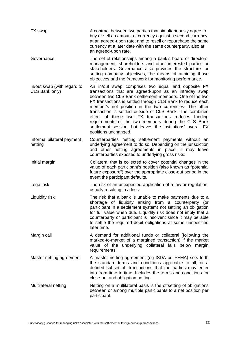| FX swap                                       | A contract between two parties that simultaneously agree to<br>buy or sell an amount of currency against a second currency<br>at an agreed-upon rate; and to resell or repurchase the same<br>currency at a later date with the same counterparty, also at<br>an agreed-upon rate.                                                                                                                                                                                                                                                                              |
|-----------------------------------------------|-----------------------------------------------------------------------------------------------------------------------------------------------------------------------------------------------------------------------------------------------------------------------------------------------------------------------------------------------------------------------------------------------------------------------------------------------------------------------------------------------------------------------------------------------------------------|
| Governance                                    | The set of relationships among a bank's board of directors,<br>management, shareholders and other interested parties or<br>stakeholders. Governance also provides the structure for<br>setting company objectives, the means of attaining those<br>objectives and the framework for monitoring performance.                                                                                                                                                                                                                                                     |
| In/out swap (with regard to<br>CLS Bank only) | An in/out swap comprises two equal and opposite FX<br>transactions that are agreed-upon as an intraday swap<br>between two CLS Bank settlement members. One of the two<br>FX transactions is settled through CLS Bank to reduce each<br>member's net position in the two currencies. The other<br>transaction is settled outside of CLS Bank. The combined<br>effect of these two FX transactions reduces funding<br>requirements of the two members during the CLS Bank<br>settlement session, but leaves the institutions' overall FX<br>positions unchanged. |
| Informal bilateral payment<br>netting         | Counterparties netting settlement payments without an<br>underlying agreement to do so. Depending on the jurisdiction<br>and other netting agreements in place, it may leave<br>counterparties exposed to underlying gross risks.                                                                                                                                                                                                                                                                                                                               |
| Initial margin                                | Collateral that is collected to cover potential changes in the<br>value of each participant's position (also known as "potential<br>future exposure") over the appropriate close-out period in the<br>event the participant defaults.                                                                                                                                                                                                                                                                                                                           |
| Legal risk                                    | The risk of an unexpected application of a law or regulation,<br>usually resulting in a loss.                                                                                                                                                                                                                                                                                                                                                                                                                                                                   |
| Liquidity risk                                | The risk that a bank is unable to make payments due to a<br>shortage of liquidity arising from a counterparty<br>(or<br>participant in a settlement system) not settling an obligation<br>for full value when due. Liquidity risk does not imply that a<br>counterparty or participant is insolvent since it may be able<br>to settle the required debit obligations at some unspecified<br>later time.                                                                                                                                                         |
| Margin call                                   | A demand for additional funds or collateral (following the<br>marked-to-market of a margined transaction) if the market<br>value of the underlying collateral falls below<br>margin<br>requirements.                                                                                                                                                                                                                                                                                                                                                            |
| Master netting agreement                      | A master netting agreement (eg ISDA or IFEMA) sets forth<br>the standard terms and conditions applicable to all, or a<br>defined subset of, transactions that the parties may enter<br>into from time to time. Includes the terms and conditions for<br>close-out and obligation netting.                                                                                                                                                                                                                                                                       |
| Multilateral netting                          | Netting on a multilateral basis is the offsetting of obligations<br>between or among multiple participants to a net position per<br>participant.                                                                                                                                                                                                                                                                                                                                                                                                                |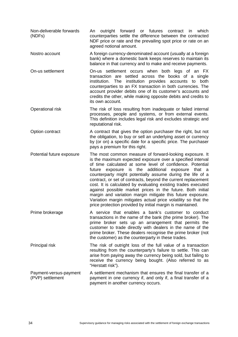| Non-deliverable forwards<br>(NDFs)         | outright forward or futures contract in<br>which<br>An<br>counterparties settle the difference between the contracted<br>NDF price or rate and the prevailing spot price or rate on an<br>agreed notional amount.                                                                                                                                                                                                                                                                                                                                                                                                                                                                                               |
|--------------------------------------------|-----------------------------------------------------------------------------------------------------------------------------------------------------------------------------------------------------------------------------------------------------------------------------------------------------------------------------------------------------------------------------------------------------------------------------------------------------------------------------------------------------------------------------------------------------------------------------------------------------------------------------------------------------------------------------------------------------------------|
| Nostro account                             | A foreign currency-denominated account (usually at a foreign<br>bank) where a domestic bank keeps reserves to maintain its<br>balance in that currency and to make and receive payments.                                                                                                                                                                                                                                                                                                                                                                                                                                                                                                                        |
| On-us settlement                           | On-us settlement occurs when both legs of an FX<br>transaction are settled across the books of a single<br>institution.<br>The<br>institution provides accounts<br>both<br>to<br>counterparties to an FX transaction in both currencies. The<br>account provider debits one of its customer's accounts and<br>credits the other, while making opposite debits and credits to<br>its own account.                                                                                                                                                                                                                                                                                                                |
| Operational risk                           | The risk of loss resulting from inadequate or failed internal<br>processes, people and systems, or from external events.<br>This definition includes legal risk and excludes strategic and<br>reputational risk.                                                                                                                                                                                                                                                                                                                                                                                                                                                                                                |
| Option contract                            | A contract that gives the option purchaser the right, but not<br>the obligation, to buy or sell an underlying asset or currency<br>by (or on) a specific date for a specific price. The purchaser<br>pays a premium for this right.                                                                                                                                                                                                                                                                                                                                                                                                                                                                             |
| Potential future exposure                  | The most common measure of forward-looking exposure. It<br>is the maximum expected exposure over a specified interval<br>of time calculated at some level of confidence. Potential<br>the additional<br>future<br>exposure is<br>exposure<br>that a<br>counterparty might potentially assume during the life of a<br>contract, or set of contracts, beyond the current replacement<br>cost. It is calculated by evaluating existing trades executed<br>against possible market prices in the future. Both initial<br>margin and variation margin mitigate this future exposure.<br>Variation margin mitigates actual price volatility so that the<br>price protection provided by initial margin is maintained. |
| Prime brokerage                            | A service that enables a bank's customer to conduct<br>transactions in the name of the bank (the prime broker). The<br>prime broker sets up an arrangement that permits the<br>customer to trade directly with dealers in the name of the<br>prime broker. These dealers recognise the prime broker (not<br>the customer) as the counterparty in these trades.                                                                                                                                                                                                                                                                                                                                                  |
| Principal risk                             | The risk of outright loss of the full value of a transaction<br>resulting from the counterparty's failure to settle. This can<br>arise from paying away the currency being sold, but failing to<br>receive the currency being bought. (Also referred to as<br>"Herstatt risk").                                                                                                                                                                                                                                                                                                                                                                                                                                 |
| Payment-versus-payment<br>(PVP) settlement | A settlement mechanism that ensures the final transfer of a<br>payment in one currency if, and only if, a final transfer of a<br>payment in another currency occurs.                                                                                                                                                                                                                                                                                                                                                                                                                                                                                                                                            |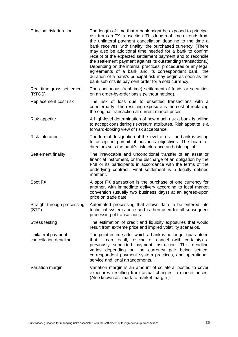| Principal risk duration                     | The length of time that a bank might be exposed to principal<br>risk from an FX transaction. This length of time extends from<br>the unilateral payment cancellation deadline to the time a<br>bank receives, with finality, the purchased currency. (There<br>may also be additional time needed for a bank to confirm<br>receipt of the expected settlement payment and to reconcile<br>the settlement payment against its outstanding transactions.)<br>Depending on the internal practices, procedures or any legal<br>agreements of a bank and its correspondent bank, the<br>duration of a bank's principal risk may begin as soon as the<br>bank submits its payment order for a sold currency. |
|---------------------------------------------|--------------------------------------------------------------------------------------------------------------------------------------------------------------------------------------------------------------------------------------------------------------------------------------------------------------------------------------------------------------------------------------------------------------------------------------------------------------------------------------------------------------------------------------------------------------------------------------------------------------------------------------------------------------------------------------------------------|
| Real-time gross settlement<br>(RTGS)        | The continuous (real-time) settlement of funds or securities<br>on an order-by-order basis (without netting).                                                                                                                                                                                                                                                                                                                                                                                                                                                                                                                                                                                          |
| Replacement cost risk                       | The risk of loss due to unsettled transactions with a<br>counterparty. The resulting exposure is the cost of replacing<br>the original transaction at current market prices.                                                                                                                                                                                                                                                                                                                                                                                                                                                                                                                           |
| <b>Risk appetite</b>                        | A high-level determination of how much risk a bank is willing<br>to accept considering risk/return attributes. Risk appetite is a<br>forward-looking view of risk acceptance.                                                                                                                                                                                                                                                                                                                                                                                                                                                                                                                          |
| <b>Risk tolerance</b>                       | The formal designation of the level of risk the bank is willing<br>to accept in pursuit of business objectives. The board of<br>directors sets the bank's risk tolerance and risk capital.                                                                                                                                                                                                                                                                                                                                                                                                                                                                                                             |
| Settlement finality                         | The irrevocable and unconditional transfer of an asset or<br>financial instrument, or the discharge of an obligation by the<br>FMI or its participants in accordance with the terms of the<br>underlying contract. Final settlement is a legally defined<br>moment.                                                                                                                                                                                                                                                                                                                                                                                                                                    |
| Spot FX                                     | A spot FX transaction is the purchase of one currency for<br>another, with immediate delivery according to local market<br>convention (usually two business days) at an agreed-upon<br>price on trade date.                                                                                                                                                                                                                                                                                                                                                                                                                                                                                            |
| Straight-through processing<br>(STP)        | Automated processing that allows data to be entered into<br>technical systems once and is then used for all subsequent<br>processing of transactions.                                                                                                                                                                                                                                                                                                                                                                                                                                                                                                                                                  |
| <b>Stress testing</b>                       | The estimation of credit and liquidity exposures that would<br>result from extreme price and implied volatility scenarios.                                                                                                                                                                                                                                                                                                                                                                                                                                                                                                                                                                             |
| Unilateral payment<br>cancellation deadline | The point in time after which a bank is no longer guaranteed<br>that it can recall, rescind or cancel (with certainty) a<br>previously submitted payment instruction. This deadline<br>varies depending on the currency pair being settled,<br>correspondent payment system practices, and operational,<br>service and legal arrangements.                                                                                                                                                                                                                                                                                                                                                             |
| Variation margin                            | Variation margin is an amount of collateral posted to cover<br>exposures resulting from actual changes in market prices.<br>(Also known as "mark-to-market margin").                                                                                                                                                                                                                                                                                                                                                                                                                                                                                                                                   |